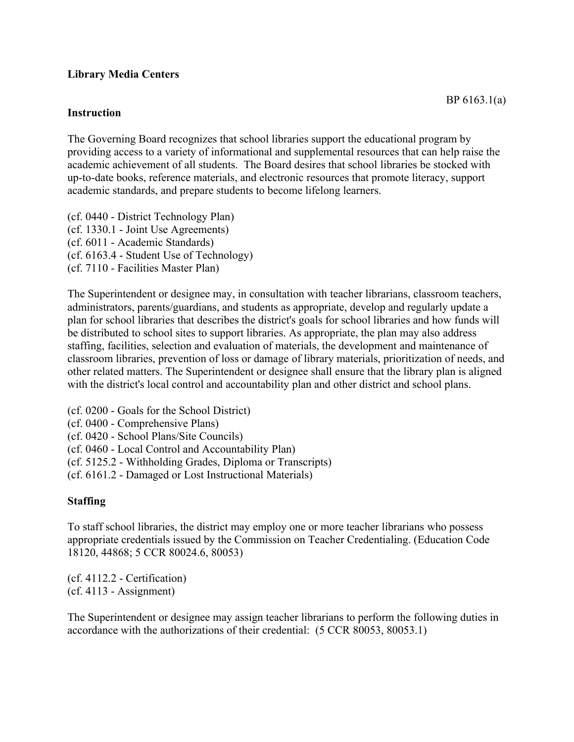### **Library Media Centers**

#### **Instruction**

The Governing Board recognizes that school libraries support the educational program by providing access to a variety of informational and supplemental resources that can help raise the academic achievement of all students. The Board desires that school libraries be stocked with up-to-date books, reference materials, and electronic resources that promote literacy, support academic standards, and prepare students to become lifelong learners.

(cf. 0440 - District Technology Plan) (cf. 1330.1 - Joint Use Agreements) (cf. 6011 - Academic Standards) (cf. 6163.4 - Student Use of Technology) (cf. 7110 - Facilities Master Plan)

The Superintendent or designee may, in consultation with teacher librarians, classroom teachers, administrators, parents/guardians, and students as appropriate, develop and regularly update a plan for school libraries that describes the district's goals for school libraries and how funds will be distributed to school sites to support libraries. As appropriate, the plan may also address staffing, facilities, selection and evaluation of materials, the development and maintenance of classroom libraries, prevention of loss or damage of library materials, prioritization of needs, and other related matters. The Superintendent or designee shall ensure that the library plan is aligned with the district's local control and accountability plan and other district and school plans.

- (cf. 0200 Goals for the School District)
- (cf. 0400 Comprehensive Plans)
- (cf. 0420 School Plans/Site Councils)
- (cf. 0460 Local Control and Accountability Plan)
- (cf. 5125.2 Withholding Grades, Diploma or Transcripts)
- (cf. 6161.2 Damaged or Lost Instructional Materials)

#### **Staffing**

To staff school libraries, the district may employ one or more teacher librarians who possess appropriate credentials issued by the Commission on Teacher Credentialing. (Education Code 18120, 44868; 5 CCR 80024.6, 80053)

(cf. 4112.2 - Certification) (cf. 4113 - Assignment)

The Superintendent or designee may assign teacher librarians to perform the following duties in accordance with the authorizations of their credential: (5 CCR 80053, 80053.1)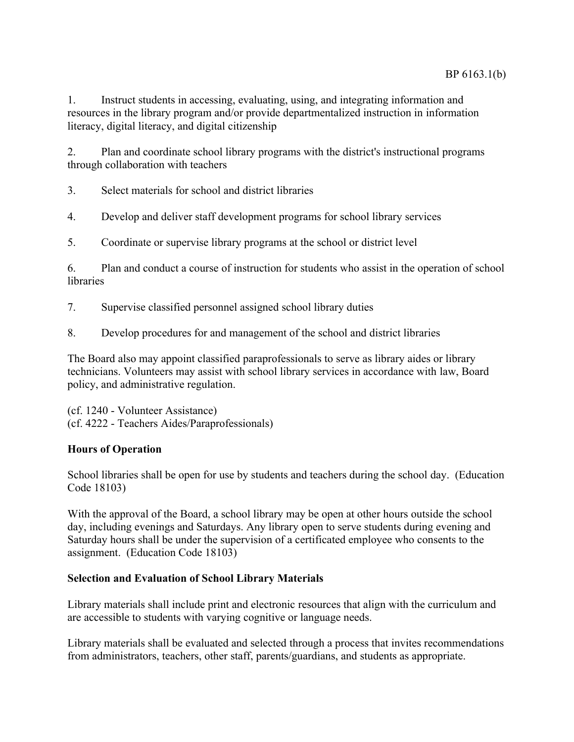1. Instruct students in accessing, evaluating, using, and integrating information and resources in the library program and/or provide departmentalized instruction in information literacy, digital literacy, and digital citizenship

2. Plan and coordinate school library programs with the district's instructional programs through collaboration with teachers

3. Select materials for school and district libraries

4. Develop and deliver staff development programs for school library services

5. Coordinate or supervise library programs at the school or district level

6. Plan and conduct a course of instruction for students who assist in the operation of school libraries

7. Supervise classified personnel assigned school library duties

8. Develop procedures for and management of the school and district libraries

The Board also may appoint classified paraprofessionals to serve as library aides or library technicians. Volunteers may assist with school library services in accordance with law, Board policy, and administrative regulation.

(cf. 1240 - Volunteer Assistance) (cf. 4222 - Teachers Aides/Paraprofessionals)

## **Hours of Operation**

School libraries shall be open for use by students and teachers during the school day. (Education Code 18103)

With the approval of the Board, a school library may be open at other hours outside the school day, including evenings and Saturdays. Any library open to serve students during evening and Saturday hours shall be under the supervision of a certificated employee who consents to the assignment. (Education Code 18103)

#### **Selection and Evaluation of School Library Materials**

Library materials shall include print and electronic resources that align with the curriculum and are accessible to students with varying cognitive or language needs.

Library materials shall be evaluated and selected through a process that invites recommendations from administrators, teachers, other staff, parents/guardians, and students as appropriate.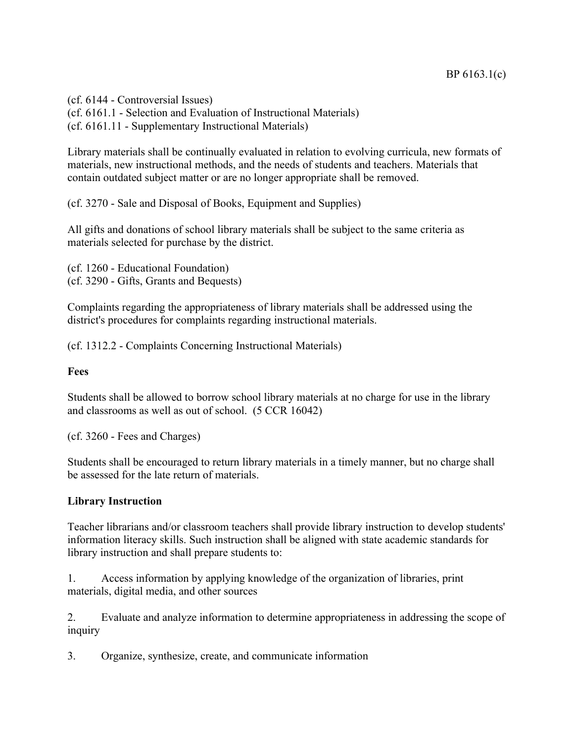(cf. 6144 - Controversial Issues) (cf. 6161.1 - Selection and Evaluation of Instructional Materials) (cf. 6161.11 - Supplementary Instructional Materials)

Library materials shall be continually evaluated in relation to evolving curricula, new formats of materials, new instructional methods, and the needs of students and teachers. Materials that contain outdated subject matter or are no longer appropriate shall be removed.

(cf. 3270 - Sale and Disposal of Books, Equipment and Supplies)

All gifts and donations of school library materials shall be subject to the same criteria as materials selected for purchase by the district.

(cf. 1260 - Educational Foundation) (cf. 3290 - Gifts, Grants and Bequests)

Complaints regarding the appropriateness of library materials shall be addressed using the district's procedures for complaints regarding instructional materials.

(cf. 1312.2 - Complaints Concerning Instructional Materials)

#### **Fees**

Students shall be allowed to borrow school library materials at no charge for use in the library and classrooms as well as out of school. (5 CCR 16042)

(cf. 3260 - Fees and Charges)

Students shall be encouraged to return library materials in a timely manner, but no charge shall be assessed for the late return of materials.

#### **Library Instruction**

Teacher librarians and/or classroom teachers shall provide library instruction to develop students' information literacy skills. Such instruction shall be aligned with state academic standards for library instruction and shall prepare students to:

1. Access information by applying knowledge of the organization of libraries, print materials, digital media, and other sources

2. Evaluate and analyze information to determine appropriateness in addressing the scope of inquiry

3. Organize, synthesize, create, and communicate information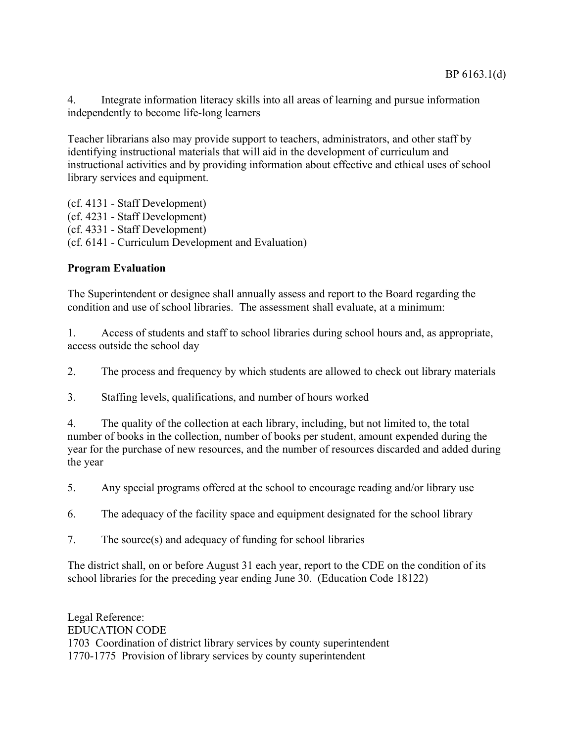4. Integrate information literacy skills into all areas of learning and pursue information independently to become life-long learners

Teacher librarians also may provide support to teachers, administrators, and other staff by identifying instructional materials that will aid in the development of curriculum and instructional activities and by providing information about effective and ethical uses of school library services and equipment.

(cf. 4131 - Staff Development) (cf. 4231 - Staff Development) (cf. 4331 - Staff Development) (cf. 6141 - Curriculum Development and Evaluation)

# **Program Evaluation**

The Superintendent or designee shall annually assess and report to the Board regarding the condition and use of school libraries. The assessment shall evaluate, at a minimum:

1. Access of students and staff to school libraries during school hours and, as appropriate, access outside the school day

2. The process and frequency by which students are allowed to check out library materials

3. Staffing levels, qualifications, and number of hours worked

4. The quality of the collection at each library, including, but not limited to, the total number of books in the collection, number of books per student, amount expended during the year for the purchase of new resources, and the number of resources discarded and added during the year

5. Any special programs offered at the school to encourage reading and/or library use

6. The adequacy of the facility space and equipment designated for the school library

7. The source(s) and adequacy of funding for school libraries

The district shall, on or before August 31 each year, report to the CDE on the condition of its school libraries for the preceding year ending June 30. (Education Code 18122)

Legal Reference: EDUCATION CODE 1703 Coordination of district library services by county superintendent 1770-1775 Provision of library services by county superintendent